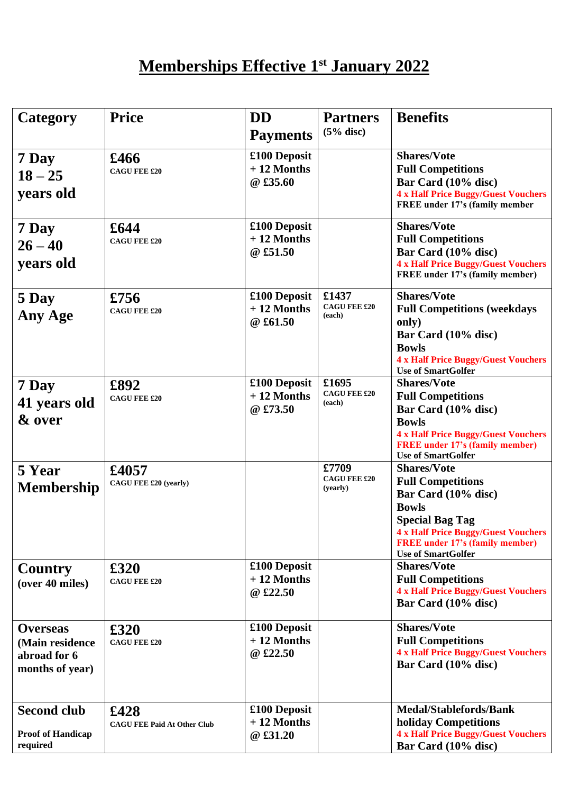## **Memberships Effective 1st January 2022**

| Category                                                              | <b>Price</b>                               | <b>DD</b>                                | <b>Partners</b>                          | <b>Benefits</b>                                                                                                                                                                                                                      |
|-----------------------------------------------------------------------|--------------------------------------------|------------------------------------------|------------------------------------------|--------------------------------------------------------------------------------------------------------------------------------------------------------------------------------------------------------------------------------------|
|                                                                       |                                            | <b>Payments</b>                          | $(5%$ disc)                              |                                                                                                                                                                                                                                      |
| 7 Day<br>$18 - 25$<br>years old                                       | £466<br><b>CAGU FEE £20</b>                | £100 Deposit<br>$+12$ Months<br>@ £35.60 |                                          | <b>Shares/Vote</b><br><b>Full Competitions</b><br>Bar Card (10% disc)<br><b>4 x Half Price Buggy/Guest Vouchers</b><br><b>FREE</b> under 17's (family member                                                                         |
| 7 Day<br>$26 - 40$<br>years old                                       | £644<br><b>CAGU FEE £20</b>                | £100 Deposit<br>$+12$ Months<br>@ £51.50 |                                          | <b>Shares/Vote</b><br><b>Full Competitions</b><br>Bar Card (10% disc)<br><b>4 x Half Price Buggy/Guest Vouchers</b><br>FREE under 17's (family member)                                                                               |
| 5 Day<br>Any Age                                                      | £756<br><b>CAGU FEE £20</b>                | £100 Deposit<br>$+12$ Months<br>@ £61.50 | £1437<br><b>CAGU FEE £20</b><br>(each)   | <b>Shares/Vote</b><br><b>Full Competitions (weekdays</b><br>only)<br>Bar Card (10% disc)<br><b>Bowls</b><br><b>4 x Half Price Buggy/Guest Vouchers</b><br><b>Use of SmartGolfer</b>                                                  |
| 7 Day<br>41 years old<br>& over                                       | £892<br><b>CAGU FEE £20</b>                | £100 Deposit<br>$+12$ Months<br>@ £73.50 | £1695<br><b>CAGU FEE £20</b><br>(each)   | <b>Shares/Vote</b><br><b>Full Competitions</b><br>Bar Card (10% disc)<br><b>Bowls</b><br><b>4 x Half Price Buggy/Guest Vouchers</b><br><b>FREE</b> under 17's (family member)<br><b>Use of SmartGolfer</b>                           |
| 5 Year<br><b>Membership</b>                                           | £4057<br>CAGU FEE £20 (yearly)             |                                          | £7709<br><b>CAGU FEE £20</b><br>(yearly) | <b>Shares/Vote</b><br><b>Full Competitions</b><br>Bar Card (10% disc)<br><b>Bowls</b><br><b>Special Bag Tag</b><br><b>4 x Half Price Buggy/Guest Vouchers</b><br><b>FREE</b> under 17's (family member)<br><b>Use of SmartGolfer</b> |
| <b>Country</b><br>(over 40 miles)                                     | £320<br><b>CAGU FEE £20</b>                | £100 Deposit<br>$+12$ Months<br>@ £22.50 |                                          | <b>Shares/Vote</b><br><b>Full Competitions</b><br><b>4 x Half Price Buggy/Guest Vouchers</b><br>Bar Card (10% disc)                                                                                                                  |
| <b>Overseas</b><br>(Main residence<br>abroad for 6<br>months of year) | £320<br><b>CAGU FEE £20</b>                | £100 Deposit<br>$+12$ Months<br>@ £22.50 |                                          | <b>Shares/Vote</b><br><b>Full Competitions</b><br><b>4 x Half Price Buggy/Guest Vouchers</b><br>Bar Card (10% disc)                                                                                                                  |
| <b>Second club</b><br><b>Proof of Handicap</b><br>required            | £428<br><b>CAGU FEE Paid At Other Club</b> | £100 Deposit<br>$+12$ Months<br>@ £31.20 |                                          | <b>Medal/Stablefords/Bank</b><br>holiday Competitions<br><b>4 x Half Price Buggy/Guest Vouchers</b><br>Bar Card (10% disc)                                                                                                           |